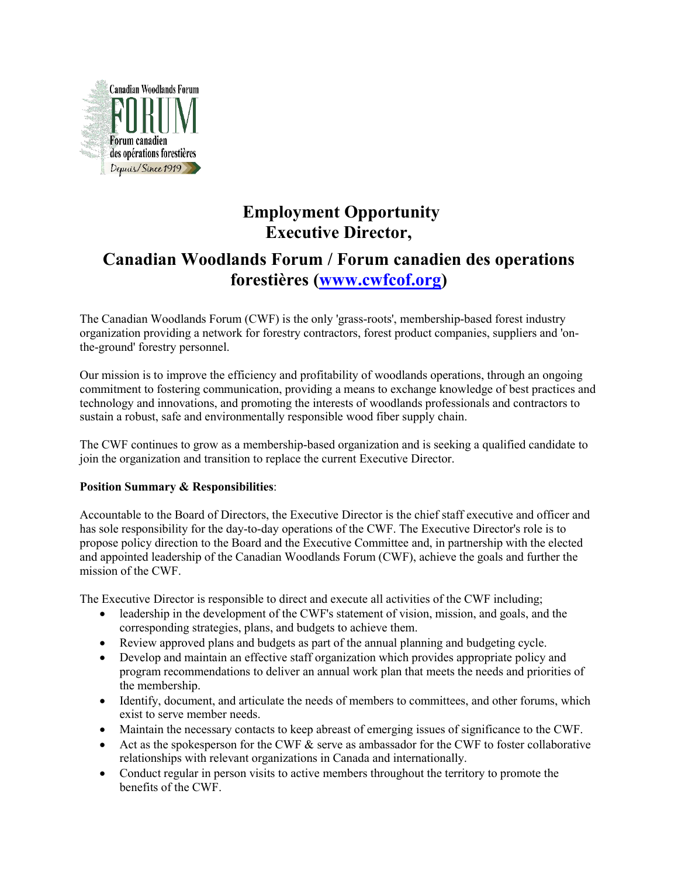

# **Employment Opportunity Executive Director,**

## **Canadian Woodlands Forum / Forum canadien des operations forestières [\(www.cwfcof.org\)](http://www.cwfcof.org)**

The Canadian Woodlands Forum (CWF) is the only 'grass-roots', membership-based forest industry organization providing a network for forestry contractors, forest product companies, suppliers and 'onthe-ground' forestry personnel.

Our mission is to improve the efficiency and profitability of woodlands operations, through an ongoing commitment to fostering communication, providing a means to exchange knowledge of best practices and technology and innovations, and promoting the interests of woodlands professionals and contractors to sustain a robust, safe and environmentally responsible wood fiber supply chain.

The CWF continues to grow as a membership-based organization and is seeking a qualified candidate to join the organization and transition to replace the current Executive Director.

## **Position Summary & Responsibilities**:

Accountable to the Board of Directors, the Executive Director is the chief staff executive and officer and has sole responsibility for the day-to-day operations of the CWF. The Executive Director's role is to propose policy direction to the Board and the Executive Committee and, in partnership with the elected and appointed leadership of the Canadian Woodlands Forum (CWF), achieve the goals and further the mission of the CWF.

The Executive Director is responsible to direct and execute all activities of the CWF including;

- leadership in the development of the CWF's statement of vision, mission, and goals, and the corresponding strategies, plans, and budgets to achieve them.
- Review approved plansand budgets as part of the annual planning and budgeting cycle.
- Develop and maintain an effective staff organization which provides appropriate policy and program recommendations to deliver an annual work plan that meets the needs and priorities of the membership.
- Identify, document, and articulate the needs of members to committees, and other forums, which exist to serve member needs.
- Maintain the necessary contacts to keep abreast of emerging issues of significance to the CWF.
- Act as the spokesperson for the CWF  $\&$  serve as ambassador for the CWF to foster collaborative relationships with relevant organizations in Canada and internationally.
- Conduct regular in person visits to active members throughout the territory to promote the benefits of the CWF.